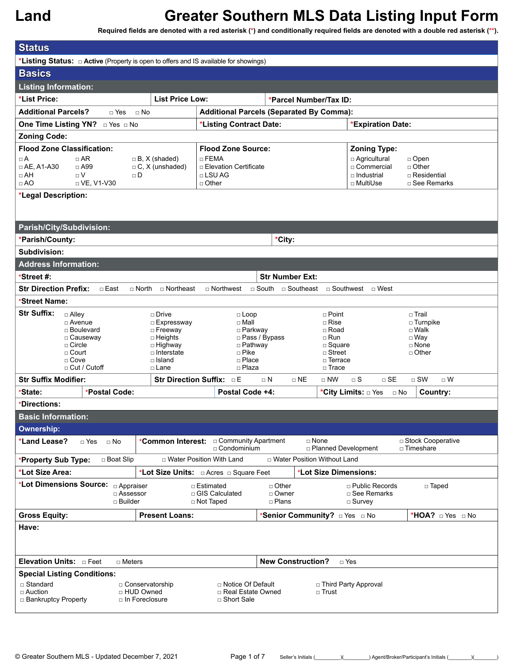| <b>Status</b>                                                                                                                                            |                                                  |                                                                                         |                               |                                      |                                     |  |  |
|----------------------------------------------------------------------------------------------------------------------------------------------------------|--------------------------------------------------|-----------------------------------------------------------------------------------------|-------------------------------|--------------------------------------|-------------------------------------|--|--|
| *Listing Status: $\Box$ Active (Property is open to offers and IS available for showings)                                                                |                                                  |                                                                                         |                               |                                      |                                     |  |  |
| <b>Basics</b>                                                                                                                                            |                                                  |                                                                                         |                               |                                      |                                     |  |  |
| <b>Listing Information:</b>                                                                                                                              |                                                  |                                                                                         |                               |                                      |                                     |  |  |
| *List Price:                                                                                                                                             | <b>List Price Low:</b><br>*Parcel Number/Tax ID: |                                                                                         |                               |                                      |                                     |  |  |
| <b>Additional Parcels?</b><br>$\Box$ Yes                                                                                                                 | $\Box$ No                                        | <b>Additional Parcels (Separated By Comma):</b>                                         |                               |                                      |                                     |  |  |
| One Time Listing YN? DYes DNo                                                                                                                            |                                                  | *Listing Contract Date:                                                                 |                               | *Expiration Date:                    |                                     |  |  |
| <b>Zoning Code:</b>                                                                                                                                      |                                                  |                                                                                         |                               |                                      |                                     |  |  |
| <b>Flood Zone Classification:</b>                                                                                                                        |                                                  | <b>Flood Zone Source:</b>                                                               |                               | <b>Zoning Type:</b>                  |                                     |  |  |
| $\Box$ AR<br>$\Box A$                                                                                                                                    | $\Box$ B, X (shaded)                             | $\Box$ FEMA                                                                             |                               | □ Agricultural                       | $\Box$ Open                         |  |  |
| $\Box$ AE, A1-A30<br>$\Box$ A99                                                                                                                          | $\Box$ C, X (unshaded)                           | □ Elevation Certificate                                                                 |                               | □ Commercial                         | $\Box$ Other                        |  |  |
| $\Box$ AH<br>$\Box V$<br>$\Box$ AO<br>□ VE, V1-V30                                                                                                       | $\Box$ D                                         | $\Box$ LSU AG<br>$\Box$ Other                                                           |                               | $\square$ Industrial<br>□ MultiUse   | $\Box$ Residential<br>□ See Remarks |  |  |
| *Legal Description:                                                                                                                                      |                                                  |                                                                                         |                               |                                      |                                     |  |  |
|                                                                                                                                                          |                                                  |                                                                                         |                               |                                      |                                     |  |  |
|                                                                                                                                                          |                                                  |                                                                                         |                               |                                      |                                     |  |  |
| Parish/City/Subdivision:                                                                                                                                 |                                                  |                                                                                         |                               |                                      |                                     |  |  |
| *Parish/County:                                                                                                                                          |                                                  |                                                                                         | *City:                        |                                      |                                     |  |  |
| Subdivision:                                                                                                                                             |                                                  |                                                                                         |                               |                                      |                                     |  |  |
| <b>Address Information:</b>                                                                                                                              |                                                  |                                                                                         |                               |                                      |                                     |  |  |
| *Street #:                                                                                                                                               |                                                  |                                                                                         | <b>Str Number Ext:</b>        |                                      |                                     |  |  |
| $\Box$ East<br><b>Str Direction Prefix:</b>                                                                                                              | $\Box$ North<br>□ Northeast                      | □ Northwest                                                                             | $\Box$ South $\Box$ Southeast | □ Southwest □ West                   |                                     |  |  |
| *Street Name:                                                                                                                                            |                                                  |                                                                                         |                               |                                      |                                     |  |  |
| <b>Str Suffix:</b><br>□ Alley                                                                                                                            | $\Box$ Drive                                     | $\Box$ Loop                                                                             |                               | $\Box$ Point                         | $\Box$ Trail                        |  |  |
| $\Box$ Avenue<br>□ Boulevard                                                                                                                             | □ Expressway<br>□ Freeway                        | $\Box$ Mall<br>□ Parkway                                                                |                               | $\Box$ Rise<br>□ Road                | $\square$ Turnpike<br>$\Box$ Walk   |  |  |
| □ Causeway                                                                                                                                               | □ Heights                                        |                                                                                         | □ Pass / Bypass               | $\Box$ Run                           | $\square$ Way                       |  |  |
| $\Box$ Circle<br>$\Box$ Court                                                                                                                            | □ Highway<br>$\Box$ Interstate                   | □ Pathway<br>$\Box$ Pike                                                                |                               | □ Square<br>□ Street                 | □ None<br>$\Box$ Other              |  |  |
| $\Box$ Cove                                                                                                                                              | □ Place                                          |                                                                                         | □ Terrace                     |                                      |                                     |  |  |
| $\Box$ Cut / Cutoff                                                                                                                                      | □ Lane                                           | □ Plaza                                                                                 |                               | $\Box$ Trace                         |                                     |  |  |
| <b>Str Suffix Modifier:</b>                                                                                                                              |                                                  | <b>Str Direction Suffix: DE</b>                                                         | $\Box$ NE<br>$\sqcap$ N       | $\Box$ SE<br>$\Box$ NW<br>$\Box$ S   | $\square$ SW<br>$\Box$ W            |  |  |
| *Postal Code:<br>*State:                                                                                                                                 |                                                  | Postal Code +4:                                                                         |                               | *City Limits: □ Yes<br>$\Box$ No     | Country:                            |  |  |
| *Directions:                                                                                                                                             |                                                  |                                                                                         |                               |                                      |                                     |  |  |
| <b>Basic Information:</b>                                                                                                                                |                                                  |                                                                                         |                               |                                      |                                     |  |  |
| <b>Ownership:</b>                                                                                                                                        |                                                  |                                                                                         |                               |                                      |                                     |  |  |
| *Land Lease?<br>$\Box$ Yes<br>$\Box$ No                                                                                                                  |                                                  | *Common Interest: <del>Common Interest:</del> Community Apartment<br>$\Box$ Condominium |                               | $\Box$ None<br>□ Planned Development | □ Stock Cooperative<br>□ Timeshare  |  |  |
| □ Boat Slip<br>*Property Sub Type:                                                                                                                       |                                                  | □ Water Position With Land                                                              | □ Water Position Without Land |                                      |                                     |  |  |
| *Lot Size Area:                                                                                                                                          |                                                  |                                                                                         |                               | *Lot Size Dimensions:                |                                     |  |  |
| *Lot Dimensions Source: <b>Diappraiser</b>                                                                                                               |                                                  | □ Estimated                                                                             | $\Box$ Other                  | $\Box$ Public Records                | □ Taped                             |  |  |
|                                                                                                                                                          | □ Assessor                                       | □ GIS Calculated                                                                        | □ Owner                       | □ See Remarks                        |                                     |  |  |
| $\sqcap$ Builder                                                                                                                                         |                                                  | □ Not Taped                                                                             | $\Box$ Plans                  | $\square$ Survey                     |                                     |  |  |
| <b>Gross Equity:</b>                                                                                                                                     | <b>Present Loans:</b>                            |                                                                                         |                               | *Senior Community? <b>Dies</b> DNo   | *HOA? <b>DYes</b> DNo               |  |  |
| Have:                                                                                                                                                    |                                                  |                                                                                         |                               |                                      |                                     |  |  |
|                                                                                                                                                          |                                                  |                                                                                         |                               |                                      |                                     |  |  |
|                                                                                                                                                          |                                                  |                                                                                         |                               |                                      |                                     |  |  |
| Elevation Units: <b>Depart</b><br><b>New Construction?</b><br>$\Box$ Yes<br>$\Box$ Meters                                                                |                                                  |                                                                                         |                               |                                      |                                     |  |  |
| <b>Special Listing Conditions:</b>                                                                                                                       |                                                  |                                                                                         |                               |                                      |                                     |  |  |
| □ Standard<br>□ Conservatorship<br>□ Notice Of Default<br>□ Third Party Approval<br>□ HUD Owned<br>□ Real Estate Owned<br>$\Box$ Trust<br>$\Box$ Auction |                                                  |                                                                                         |                               |                                      |                                     |  |  |
| □ Bankruptcy Property<br>$\Box$ In Foreclosure<br>□ Short Sale                                                                                           |                                                  |                                                                                         |                               |                                      |                                     |  |  |
|                                                                                                                                                          |                                                  |                                                                                         |                               |                                      |                                     |  |  |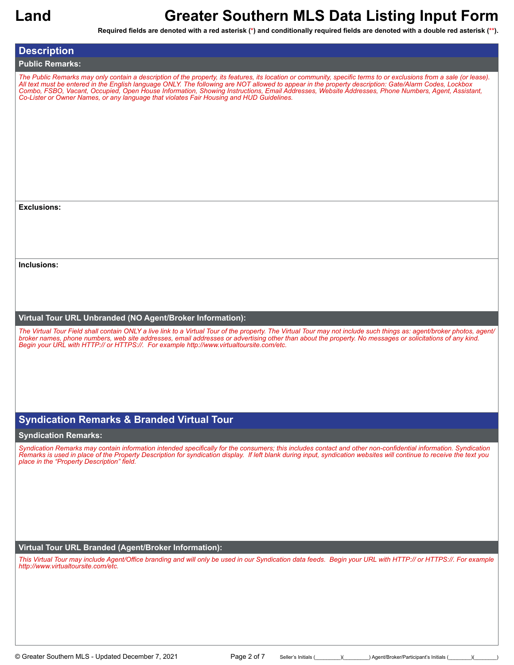**Required fields are denoted with a red asterisk (\*) and conditionally required fields are denoted with a double red asterisk (\*\*).**

| <b>Description</b>                                                                                                                                                                                                                                                                                                                                                                                                                                                                                                                                                            |
|-------------------------------------------------------------------------------------------------------------------------------------------------------------------------------------------------------------------------------------------------------------------------------------------------------------------------------------------------------------------------------------------------------------------------------------------------------------------------------------------------------------------------------------------------------------------------------|
| <b>Public Remarks:</b>                                                                                                                                                                                                                                                                                                                                                                                                                                                                                                                                                        |
| The Public Remarks may only contain a description of the property, its features, its location or community, specific terms to or exclusions from a sale (or lease).<br>All text must be entered in the English language ONLY. The following are NOT allowed to appear in the property description: Gate/Alarm Codes, Lockbox<br>Combo, FSBO, Vacant, Occupied, Open House Information, Showing Instructions, Email Addresses, Website Addresses, Phone Numbers, Agent, Assistant,<br>Co-Lister or Owner Names, or any language that violates Fair Housing and HUD Guidelines. |
| <b>Exclusions:</b>                                                                                                                                                                                                                                                                                                                                                                                                                                                                                                                                                            |
|                                                                                                                                                                                                                                                                                                                                                                                                                                                                                                                                                                               |
|                                                                                                                                                                                                                                                                                                                                                                                                                                                                                                                                                                               |
|                                                                                                                                                                                                                                                                                                                                                                                                                                                                                                                                                                               |
|                                                                                                                                                                                                                                                                                                                                                                                                                                                                                                                                                                               |
| Inclusions:                                                                                                                                                                                                                                                                                                                                                                                                                                                                                                                                                                   |
|                                                                                                                                                                                                                                                                                                                                                                                                                                                                                                                                                                               |
|                                                                                                                                                                                                                                                                                                                                                                                                                                                                                                                                                                               |
|                                                                                                                                                                                                                                                                                                                                                                                                                                                                                                                                                                               |
| Virtual Tour URL Unbranded (NO Agent/Broker Information):                                                                                                                                                                                                                                                                                                                                                                                                                                                                                                                     |
| The Virtual Tour Field shall contain ONLY a live link to a Virtual Tour of the property. The Virtual Tour may not include such things as: agent/broker photos, agent/<br>broker names, phone numbers, web site addresses, email addresses or advertising other than about the property. No messages or solicitations of any kind.<br>Begin your URL with HTTP:// or HTTPS://. For example http://www.virtualtoursite.com/etc.                                                                                                                                                 |
|                                                                                                                                                                                                                                                                                                                                                                                                                                                                                                                                                                               |
|                                                                                                                                                                                                                                                                                                                                                                                                                                                                                                                                                                               |
|                                                                                                                                                                                                                                                                                                                                                                                                                                                                                                                                                                               |
|                                                                                                                                                                                                                                                                                                                                                                                                                                                                                                                                                                               |
| <b>Syndication Remarks &amp; Branded Virtual Tour</b>                                                                                                                                                                                                                                                                                                                                                                                                                                                                                                                         |
| <b>Syndication Remarks:</b>                                                                                                                                                                                                                                                                                                                                                                                                                                                                                                                                                   |
| Syndication Remarks may contain information intended specifically for the consumers; this includes contact and other non-confidential information. Syndication                                                                                                                                                                                                                                                                                                                                                                                                                |
| Remarks is used in place of the Property Description for syndication display. If left blank during input, syndication websites will continue to receive the text you<br>place in the "Property Description" field.                                                                                                                                                                                                                                                                                                                                                            |
|                                                                                                                                                                                                                                                                                                                                                                                                                                                                                                                                                                               |
|                                                                                                                                                                                                                                                                                                                                                                                                                                                                                                                                                                               |
|                                                                                                                                                                                                                                                                                                                                                                                                                                                                                                                                                                               |
|                                                                                                                                                                                                                                                                                                                                                                                                                                                                                                                                                                               |
|                                                                                                                                                                                                                                                                                                                                                                                                                                                                                                                                                                               |
| Virtual Tour URL Branded (Agent/Broker Information):                                                                                                                                                                                                                                                                                                                                                                                                                                                                                                                          |

*This Virtual Tour may include Agent/Office branding and will only be used in our Syndication data feeds. Begin your URL with HTTP:// or HTTPS://. For example http://www.virtualtoursite.com/etc.*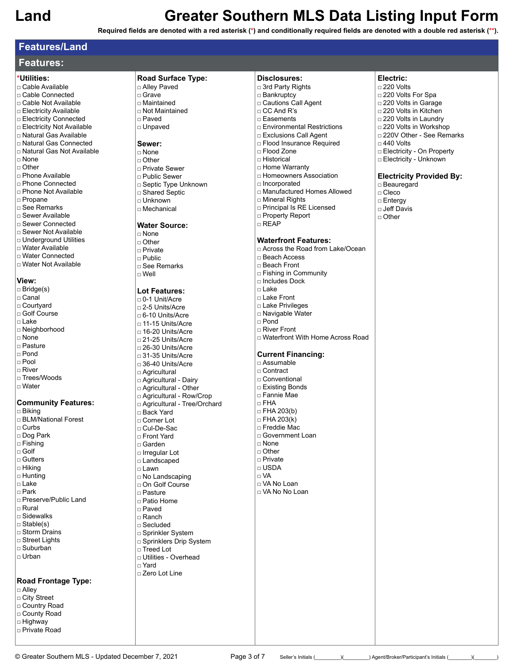**Required fields are denoted with a red asterisk (\*) and conditionally required fields are denoted with a double red asterisk (\*\*).**

## **Features/Land**

## **Features:**

### **\*Utilities:**

- □ Cable Available
- □ Cable Connected
- □ Cable Not Available
- □ Electricity Available
- □ Electricity Connected □ Electricity Not Available
- □ Natural Gas Available
- □ Natural Gas Connected
- □ Natural Gas Not Available
- □ None
- □ Other
- □ Phone Available
- □ Phone Connected □ Phone Not Available
- 
- □ Propane
- □ See Remarks □ Sewer Available
- □ Sewer Connected
- □ Sewer Not Available
- □ Underground Utilities
- □ Water Available
- □ Water Connected
- □ Water Not Available

### **View:**

□ Bridge(s) □ Canal □ Courtyard

- □ Golf Course
- $\n <sup>L</sup>$  ake
- □ Neighborhood
- □ None
- □ Pasture
- □ Pond
- □ Pool
- □ River
- □ Trees/Woods
- □ Water

### **Community Features:**

□ Biking □ BLM/National Forest □ Curbs □ Dog Park □ Fishing □ Golf □ Gutters □ Hiking □ Hunting □ Lake □ Park □ Preserve/Public Land □ Rural □ Sidewalks □ Stable(s) □ Storm Drains □ Street Lights □ Suburban □ Urban

### **Road Frontage Type:**

- □ Alley
- □ City Street
- □ Country Road
- □ County Road □ Highway
- □ Private Road

### **Road Surface Type:** □ Alley Paved □ Grave

- □ Maintained
- □ Not Maintained □ Paved
- 
- □ Unpaved
- **Sewer:**
- □ None
- □ Other
- □ Private Sewer
- □ Public Sewer
- □ Septic Type Unknown
- □ Shared Septic
- □ Unknown □ Mechanical

### **Water Source:**

- □ None
- □ Other
- □ Private
- □ Public
- □ See Remarks
- □ Well

### **Lot Features:**

□ 0-1 Unit/Acre □ 2-5 Units/Acre □ 6-10 Units/Acre □ 11-15 Units/Acre  $\Box$  16-20 Units/Acre □ 21-25 Units/Acre □ 26-30 Units/Acre □ 31-35 Units/Acre □ 36-40 Units/Acre □ Agricultural □ Agricultural - Dairy □ Agricultural - Other □ Agricultural - Row/Crop □ Agricultural - Tree/Orchard □ Back Yard □ Corner Lot □ Cul-De-Sac □ Front Yard □ Garden □ Irregular Lot □ Landscaped □ Lawn □ No Landscaping □ On Golf Course □ Pasture □ Patio Home □ Paved □ Ranch □ Secluded □ Sprinkler System □ Sprinklers Drip System □ Treed Lot □ Utilities - Overhead □ Yard □ Zero Lot Line

- **Disclosures:** □ 3rd Party Rights
- □ Bankruptcy
- □ Cautions Call Agent
- □ CC And R's
- □ Easements
- □ Environmental Restrictions
- □ Exclusions Call Agent
- □ Flood Insurance Required
- □ Flood Zone
- □ Historical
- □ Home Warranty
- □ Homeowners Association
- □ Incorporated □ Manufactured Homes Allowed
- 
- □ Mineral Rights
- □ Principal Is RE Licensed
- □ Property Report □ REAP

### **Waterfront Features:**

□ Across the Road from Lake/Ocean □ Beach Access □ Beach Front □ Fishing in Community □ Includes Dock □ Lake □ Lake Front □ Lake Privileges □ Navigable Water □ Pond □ River Front □ Waterfront With Home Across Road **Current Financing:** □ Assumable □ Contract □ Conventional □ Existing Bonds □ Fannie Mae □ FHA □ FHA 203(b)  $\Box$  FHA 203(k) □ Freddie Mac □ Government Loan □ None □ Other □ Private □ USDA □ VA □ VA No Loan □ VA No No Loan

© Greater Southern MLS - Updated December 7, 2021 Page 3 of 7 Seller's Initials ( \_\_\_\_\_)( \_\_\_\_\_) Agent/Broker/Participant's Initials (  $\qquad$  ) (  $\qquad$ 

- **Electric:**
- □ 220 Volts
- □ 220 Volts For Spa
- □ 220 Volts in Garage
- □ 220 Volts in Kitchen
- □ 220 Volts in Laundry
- □ 220 Volts in Workshop
- □ 220V Other See Remarks
- □ 440 Volts

□ Beauregard □ Cleco □ Entergy □ Jeff Davis □ Other

- □ Electricity On Property
- □ Electricity Unknown
- **Electricity Provided By:**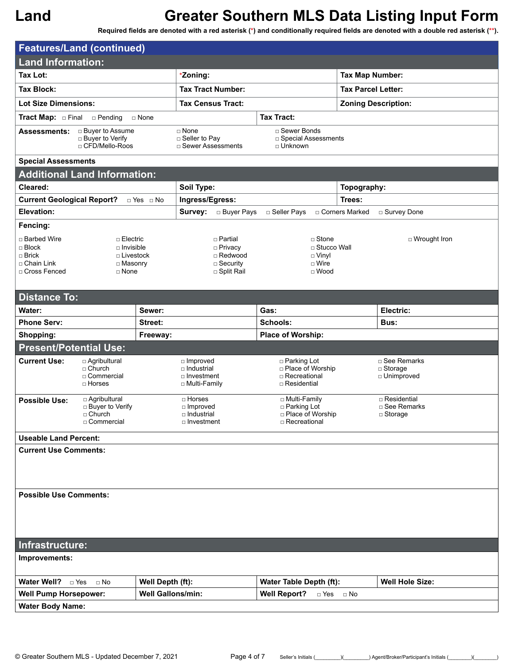| <b>Features/Land (continued)</b>                         |                                       |                          |                                           |                          |                                         |                               |                  |                                    |  |
|----------------------------------------------------------|---------------------------------------|--------------------------|-------------------------------------------|--------------------------|-----------------------------------------|-------------------------------|------------------|------------------------------------|--|
| <b>Land Information:</b>                                 |                                       |                          |                                           |                          |                                         |                               |                  |                                    |  |
| <b>Tax Lot:</b>                                          |                                       | *Zoning:                 |                                           |                          | <b>Tax Map Number:</b>                  |                               |                  |                                    |  |
| <b>Tax Block:</b>                                        |                                       | <b>Tax Tract Number:</b> |                                           |                          | <b>Tax Parcel Letter:</b>               |                               |                  |                                    |  |
| <b>Lot Size Dimensions:</b>                              |                                       |                          |                                           | <b>Tax Census Tract:</b> |                                         |                               |                  | <b>Zoning Description:</b>         |  |
| <b>Tract Map:</b> $\Box$ Final                           | $\Box$ Pending                        | □ None                   |                                           |                          | <b>Tax Tract:</b>                       |                               |                  |                                    |  |
| <b>Assessments:</b>                                      | □ Buyer to Assume                     |                          | $\Box$ None                               |                          | □ Sewer Bonds                           |                               |                  |                                    |  |
|                                                          | □ Buyer to Verify<br>□ CFD/Mello-Roos |                          | □ Seller to Pay<br>□ Sewer Assessments    |                          | □ Special Assessments<br>$\Box$ Unknown |                               |                  |                                    |  |
| <b>Special Assessments</b>                               |                                       |                          |                                           |                          |                                         |                               |                  |                                    |  |
| <b>Additional Land Information:</b>                      |                                       |                          |                                           |                          |                                         |                               |                  |                                    |  |
| Cleared:                                                 |                                       |                          | Soil Type:                                |                          |                                         | Topography:                   |                  |                                    |  |
| <b>Current Geological Report?</b>                        |                                       | $\Box$ Yes $\Box$ No     | Ingress/Egress:                           |                          |                                         |                               | Trees:           |                                    |  |
| Elevation:                                               |                                       |                          | Survey:                                   | □ Buyer Pays             | □ Seller Pays                           |                               | □ Corners Marked | □ Survey Done                      |  |
| Fencing:                                                 |                                       |                          |                                           |                          |                                         |                               |                  |                                    |  |
| □ Barbed Wire                                            | □ Electric                            |                          |                                           | □ Partial                |                                         | $\Box$ Stone                  |                  | □ Wrought Iron                     |  |
| $\Box$ Block<br>$\sqcap$ Brick                           | $\Box$ Invisible<br>$\Box$ Livestock  |                          |                                           | □ Privacy<br>□ Redwood   |                                         | □ Stucco Wall<br>$\Box$ Vinyl |                  |                                    |  |
| □ Chain Link                                             | □ Masonry                             |                          |                                           | $\Box$ Security          |                                         | □ Wire                        |                  |                                    |  |
| □ Cross Fenced                                           | $\Box$ None                           |                          |                                           | □ Split Rail             |                                         | $\Box$ Wood                   |                  |                                    |  |
| <b>Distance To:</b>                                      |                                       |                          |                                           |                          |                                         |                               |                  |                                    |  |
| Water:                                                   |                                       | Sewer:                   |                                           |                          | Gas:                                    |                               |                  | Electric:                          |  |
| <b>Phone Serv:</b>                                       |                                       | Street:                  |                                           |                          | Schools:                                |                               |                  | Bus:                               |  |
| Shopping:                                                |                                       | Freeway:                 |                                           |                          | Place of Worship:                       |                               |                  |                                    |  |
| <b>Present/Potential Use:</b>                            |                                       |                          |                                           |                          |                                         |                               |                  |                                    |  |
| <b>Current Use:</b>                                      | □ Agribultural                        |                          | $\Box$ Improved                           |                          | □ Parking Lot                           |                               |                  | □ See Remarks                      |  |
|                                                          | □ Church<br>□ Commercial              |                          | $\Box$ Industrial<br>□ Investment         |                          | □ Place of Worship<br>□ Recreational    |                               |                  | $\Box$ Storage<br>□ Unimproved     |  |
|                                                          | □ Horses                              |                          | □ Multi-Family                            |                          | □ Residential                           |                               |                  |                                    |  |
| <b>Possible Use:</b>                                     | □ Agribultural                        |                          | □ Horses                                  |                          | □ Multi-Family                          |                               |                  | □ Residential                      |  |
|                                                          | □ Buyer to Verify<br>□ Church         |                          | □ Improved<br>□ Industrial                |                          | □ Parking Lot<br>□ Place of Worship     |                               |                  | □ See Remarks<br>$\square$ Storage |  |
|                                                          | □ Commercial                          |                          | □ Investment                              |                          | □ Recreational                          |                               |                  |                                    |  |
| <b>Useable Land Percent:</b>                             |                                       |                          |                                           |                          |                                         |                               |                  |                                    |  |
| <b>Current Use Comments:</b>                             |                                       |                          |                                           |                          |                                         |                               |                  |                                    |  |
|                                                          |                                       |                          |                                           |                          |                                         |                               |                  |                                    |  |
|                                                          |                                       |                          |                                           |                          |                                         |                               |                  |                                    |  |
| <b>Possible Use Comments:</b>                            |                                       |                          |                                           |                          |                                         |                               |                  |                                    |  |
|                                                          |                                       |                          |                                           |                          |                                         |                               |                  |                                    |  |
|                                                          |                                       |                          |                                           |                          |                                         |                               |                  |                                    |  |
|                                                          |                                       |                          |                                           |                          |                                         |                               |                  |                                    |  |
| Infrastructure:                                          |                                       |                          |                                           |                          |                                         |                               |                  |                                    |  |
| Improvements:                                            |                                       |                          |                                           |                          |                                         |                               |                  |                                    |  |
| Water Well? <b>Des</b>                                   | $\Box$ No                             | Well Depth (ft):         |                                           |                          | Water Table Depth (ft):                 |                               |                  | <b>Well Hole Size:</b>             |  |
| <b>Well Pump Horsepower:</b><br><b>Well Gallons/min:</b> |                                       |                          | <b>Well Report?</b><br>$\Box$ Yes<br>⊟ No |                          |                                         |                               |                  |                                    |  |
| <b>Water Body Name:</b>                                  |                                       |                          |                                           |                          |                                         |                               |                  |                                    |  |
|                                                          |                                       |                          |                                           |                          |                                         |                               |                  |                                    |  |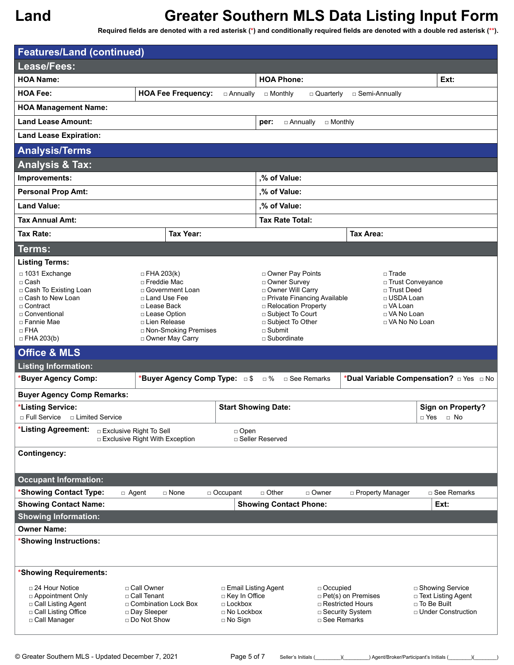**Required fields are denoted with a red asterisk (\*) and conditionally required fields are denoted with a double red asterisk (\*\*).**

| <b>Features/Land (continued)</b>                       |                                                               |                           |                                     |                                      |                                      |                                         |                                            |  |  |
|--------------------------------------------------------|---------------------------------------------------------------|---------------------------|-------------------------------------|--------------------------------------|--------------------------------------|-----------------------------------------|--------------------------------------------|--|--|
| Lease/Fees:                                            |                                                               |                           |                                     |                                      |                                      |                                         |                                            |  |  |
| <b>HOA Name:</b>                                       |                                                               |                           |                                     | <b>HOA Phone:</b>                    |                                      |                                         | Ext:                                       |  |  |
| <b>HOA Fee:</b>                                        |                                                               | <b>HOA Fee Frequency:</b> | □ Annually                          | $\Box$ Monthly                       | □ Quarterly                          | □ Semi-Annually                         |                                            |  |  |
| <b>HOA Management Name:</b>                            |                                                               |                           |                                     |                                      |                                      |                                         |                                            |  |  |
| <b>Land Lease Amount:</b>                              |                                                               |                           |                                     | per:                                 | □ Annually<br>$\Box$ Monthly         |                                         |                                            |  |  |
| <b>Land Lease Expiration:</b>                          |                                                               |                           |                                     |                                      |                                      |                                         |                                            |  |  |
| <b>Analysis/Terms</b>                                  |                                                               |                           |                                     |                                      |                                      |                                         |                                            |  |  |
| <b>Analysis &amp; Tax:</b>                             |                                                               |                           |                                     |                                      |                                      |                                         |                                            |  |  |
| Improvements:                                          |                                                               |                           |                                     | ,% of Value:                         |                                      |                                         |                                            |  |  |
| <b>Personal Prop Amt:</b>                              |                                                               |                           |                                     |                                      | ,% of Value:                         |                                         |                                            |  |  |
| <b>Land Value:</b>                                     |                                                               |                           |                                     | ,% of Value:                         |                                      |                                         |                                            |  |  |
| <b>Tax Annual Amt:</b>                                 |                                                               |                           |                                     | <b>Tax Rate Total:</b>               |                                      |                                         |                                            |  |  |
| Tax Rate:                                              |                                                               | <b>Tax Year:</b>          |                                     |                                      |                                      | <b>Tax Area:</b>                        |                                            |  |  |
| Terms:                                                 |                                                               |                           |                                     |                                      |                                      |                                         |                                            |  |  |
| <b>Listing Terms:</b>                                  |                                                               |                           |                                     |                                      |                                      |                                         |                                            |  |  |
| □ 1031 Exchange<br>$\square$ Cash                      | $\Box$ FHA 203(k)<br>□ Freddie Mac                            |                           |                                     | □ Owner Pay Points<br>□ Owner Survey |                                      | $\Box$ Trade<br>□ Trust Conveyance      |                                            |  |  |
| □ Cash To Existing Loan                                |                                                               | □ Government Loan         |                                     | □ Owner Will Carry                   |                                      | □ Trust Deed                            |                                            |  |  |
| □ Cash to New Loan<br>$\Box$ Contract                  | □ Land Use Fee<br>□ Lease Back                                |                           |                                     | □ Relocation Property                | <b>D</b> Private Financing Available | □ USDA Loan<br>□ VA Loan                |                                            |  |  |
| □ Conventional                                         | □ Lease Option                                                |                           |                                     | □ Subject To Court                   |                                      | □ VA No Loan                            |                                            |  |  |
| □ Fannie Mae<br>$\Box$ FHA                             | □ Lien Release                                                | □ Non-Smoking Premises    |                                     | □ Subject To Other<br>$\Box$ Submit  |                                      | □ VA No No Loan                         |                                            |  |  |
| $\Box$ FHA 203(b)                                      |                                                               | □ Owner May Carry         |                                     | □ Subordinate                        |                                      |                                         |                                            |  |  |
| <b>Office &amp; MLS</b>                                |                                                               |                           |                                     |                                      |                                      |                                         |                                            |  |  |
| <b>Listing Information:</b>                            |                                                               |                           |                                     |                                      |                                      |                                         |                                            |  |  |
| *Buyer Agency Comp:                                    |                                                               |                           | *Buyer Agency Comp Type: 5          | □ %                                  | □ See Remarks                        |                                         | *Dual Variable Compensation? DYes D No     |  |  |
| <b>Buyer Agency Comp Remarks:</b>                      |                                                               |                           |                                     |                                      |                                      |                                         |                                            |  |  |
| *Listing Service:<br>□ Full Service  □ Limited Service |                                                               |                           | <b>Start Showing Date:</b>          |                                      |                                      |                                         | <b>Sign on Property?</b><br>□ Yes<br>⊟ No  |  |  |
| *Listing Agreement:                                    | □ Exclusive Right To Sell<br>□ Exclusive Right With Exception |                           | $\Box$ Open                         | □ Seller Reserved                    |                                      |                                         |                                            |  |  |
| <b>Contingency:</b>                                    |                                                               |                           |                                     |                                      |                                      |                                         |                                            |  |  |
|                                                        |                                                               |                           |                                     |                                      |                                      |                                         |                                            |  |  |
| <b>Occupant Information:</b>                           |                                                               |                           |                                     |                                      |                                      |                                         |                                            |  |  |
| *Showing Contact Type:                                 | □ Agent                                                       | □ None                    | □ Occupant                          | $\Box$ Other                         | □ Owner                              | □ Property Manager                      | □ See Remarks                              |  |  |
| <b>Showing Contact Name:</b>                           |                                                               |                           |                                     | <b>Showing Contact Phone:</b>        |                                      |                                         | Ext:                                       |  |  |
| <b>Showing Information:</b><br><b>Owner Name:</b>      |                                                               |                           |                                     |                                      |                                      |                                         |                                            |  |  |
| *Showing Instructions:                                 |                                                               |                           |                                     |                                      |                                      |                                         |                                            |  |  |
| 'Showing Requirements:                                 |                                                               |                           |                                     |                                      |                                      |                                         |                                            |  |  |
| $\Box$ 24 Hour Notice                                  | □ Call Owner                                                  |                           | □ Email Listing Agent               |                                      | $\Box$ Occupied                      |                                         | □ Showing Service                          |  |  |
| □ Appointment Only                                     | □ Call Tenant                                                 |                           | □ Key In Office                     |                                      |                                      | $\Box$ Pet(s) on Premises               | □ Text Listing Agent                       |  |  |
| □ Call Listing Agent<br>□ Call Listing Office          | □ Combination Lock Box<br>□ Day Sleeper                       |                           | $\Box$ Lockbox<br>$\Box$ No Lockbox |                                      |                                      | □ Restricted Hours<br>□ Security System | □ To Be Built<br>$\Box$ Under Construction |  |  |
| □ Call Manager                                         | □ Do Not Show                                                 |                           | $\Box$ No Sign                      |                                      | □ See Remarks                        |                                         |                                            |  |  |
|                                                        |                                                               |                           |                                     |                                      |                                      |                                         |                                            |  |  |

© Greater Southern MLS - Updated December 7, 2021 Page 5 of 7 Seller's Initials (\_\_\_\_\_\_\_\_)(\_\_\_\_\_\_\_) Agent/Broker/Participant's Initials (\_\_\_\_\_\_\_)(\_\_\_\_\_\_\_\_)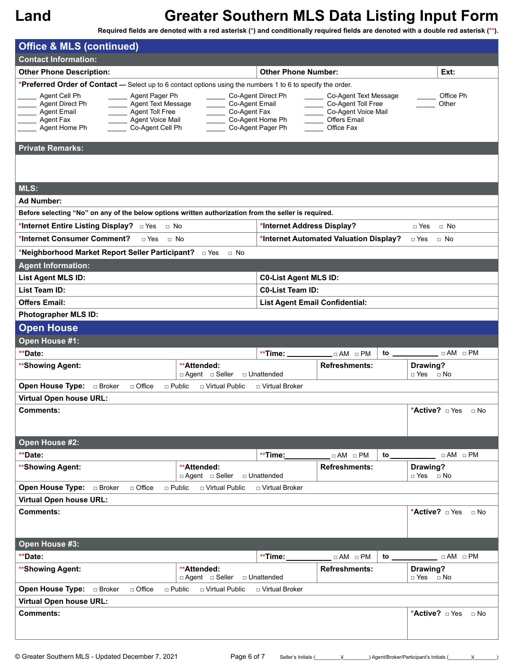| <b>Office &amp; MLS (continued)</b>                                                                                                                                                                                                                                                                                                      |                                                             |                                                                                                         |                                         |
|------------------------------------------------------------------------------------------------------------------------------------------------------------------------------------------------------------------------------------------------------------------------------------------------------------------------------------------|-------------------------------------------------------------|---------------------------------------------------------------------------------------------------------|-----------------------------------------|
| <b>Contact Information:</b>                                                                                                                                                                                                                                                                                                              |                                                             |                                                                                                         |                                         |
| <b>Other Phone Description:</b>                                                                                                                                                                                                                                                                                                          | <b>Other Phone Number:</b>                                  |                                                                                                         | Ext:                                    |
| *Preferred Order of Contact - Select up to 6 contact options using the numbers 1 to 6 to specify the order.<br>Agent Cell Ph<br>Agent Pager Ph<br>Agent Direct Ph<br>Agent Text Message<br>Co-Agent Email<br><b>Agent Email</b><br>Agent Toll Free<br>Co-Agent Fax<br>Agent Voice Mail<br>Agent Fax<br>Agent Home Ph<br>Co-Agent Cell Ph | Co-Agent Direct Ph<br>Co-Agent Home Ph<br>Co-Agent Pager Ph | Co-Agent Text Message<br>Co-Agent Toll Free<br>Co-Agent Voice Mail<br><b>Offers Email</b><br>Office Fax | Office Ph<br>Other                      |
| <b>Private Remarks:</b>                                                                                                                                                                                                                                                                                                                  |                                                             |                                                                                                         |                                         |
|                                                                                                                                                                                                                                                                                                                                          |                                                             |                                                                                                         |                                         |
| MLS:                                                                                                                                                                                                                                                                                                                                     |                                                             |                                                                                                         |                                         |
| <b>Ad Number:</b>                                                                                                                                                                                                                                                                                                                        |                                                             |                                                                                                         |                                         |
| Before selecting "No" on any of the below options written authorization from the seller is required.                                                                                                                                                                                                                                     |                                                             |                                                                                                         |                                         |
| *Internet Entire Listing Display? DYes D No                                                                                                                                                                                                                                                                                              | *Internet Address Display?                                  |                                                                                                         | $\Box$ Yes<br>$\Box$ No                 |
| *Internet Consumer Comment?<br>$\sqcap$ Yes<br>$\sqcap$ No                                                                                                                                                                                                                                                                               |                                                             | *Internet Automated Valuation Display?                                                                  | $\Box$ Yes<br>$\Box$ No                 |
| *Neighborhood Market Report Seller Participant? DYes<br>$\Box$ No                                                                                                                                                                                                                                                                        |                                                             |                                                                                                         |                                         |
| <b>Agent Information:</b>                                                                                                                                                                                                                                                                                                                |                                                             |                                                                                                         |                                         |
| List Agent MLS ID:                                                                                                                                                                                                                                                                                                                       | <b>C0-List Agent MLS ID:</b>                                |                                                                                                         |                                         |
| List Team ID:                                                                                                                                                                                                                                                                                                                            | <b>C0-List Team ID:</b>                                     |                                                                                                         |                                         |
| <b>Offers Email:</b>                                                                                                                                                                                                                                                                                                                     | <b>List Agent Email Confidential:</b>                       |                                                                                                         |                                         |
| <b>Photographer MLS ID:</b>                                                                                                                                                                                                                                                                                                              |                                                             |                                                                                                         |                                         |
| <b>Open House</b>                                                                                                                                                                                                                                                                                                                        |                                                             |                                                                                                         |                                         |
| Open House #1:                                                                                                                                                                                                                                                                                                                           |                                                             |                                                                                                         |                                         |
| **Date:                                                                                                                                                                                                                                                                                                                                  | $*$ Time: $\_\_$                                            | $\Box$ AM $\Box$ PM<br>to.                                                                              | $\Box$ AM $\Box$ PM                     |
| **Attended:<br>**Showing Agent:<br>□ Agent □ Seller                                                                                                                                                                                                                                                                                      | □ Unattended                                                | <b>Refreshments:</b>                                                                                    | Drawing?<br>□ Yes □ No                  |
| Open House Type:<br>□ Broker<br>□ Office<br>$\Box$ Public<br>□ Virtual Public                                                                                                                                                                                                                                                            | □ Virtual Broker                                            |                                                                                                         |                                         |
| <b>Virtual Open house URL:</b>                                                                                                                                                                                                                                                                                                           |                                                             |                                                                                                         |                                         |
| <b>Comments:</b>                                                                                                                                                                                                                                                                                                                         |                                                             |                                                                                                         | *Active? <b>Des</b><br>$\Box$ No        |
| Open House #2:                                                                                                                                                                                                                                                                                                                           |                                                             |                                                                                                         |                                         |
| **Date:                                                                                                                                                                                                                                                                                                                                  | **Time:                                                     | $\Box$ AM $\Box$ PM<br>to $\equiv$                                                                      | $\Box \,\, AM \quad \Box \,\, PM$       |
| **Attended:<br>**Showing Agent:<br>□ Agent □ Seller                                                                                                                                                                                                                                                                                      | □ Unattended                                                | <b>Refreshments:</b>                                                                                    | Drawing?<br>□ Yes □ No                  |
| <b>Open House Type: Digitarry</b> Broker<br>□ Office<br>$\sqcap$ Public<br>□ Virtual Public                                                                                                                                                                                                                                              | □ Virtual Broker                                            |                                                                                                         |                                         |
| <b>Virtual Open house URL:</b>                                                                                                                                                                                                                                                                                                           |                                                             |                                                                                                         |                                         |
| Comments:                                                                                                                                                                                                                                                                                                                                |                                                             |                                                                                                         | *Active? $\Box$ Yes $\Box$ No           |
| Open House #3:                                                                                                                                                                                                                                                                                                                           |                                                             |                                                                                                         |                                         |
| **Date:                                                                                                                                                                                                                                                                                                                                  | **Time:                                                     | $\Box$ AM $\Box$ PM<br>to $\overline{\phantom{a}}$                                                      | $\Box$ AM $\Box$ PM                     |
| **Attended:<br>**Showing Agent:<br>□ Agent □ Seller                                                                                                                                                                                                                                                                                      | □ Unattended                                                | <b>Refreshments:</b>                                                                                    | Drawing?<br>$\Box$ Yes $\Box$ No        |
| <b>Open House Type:</b> a Broker<br>$\Box$ Office<br>$\Box$ Public<br>□ Virtual Public                                                                                                                                                                                                                                                   | □ Virtual Broker                                            |                                                                                                         |                                         |
| <b>Virtual Open house URL:</b>                                                                                                                                                                                                                                                                                                           |                                                             |                                                                                                         |                                         |
| <b>Comments:</b>                                                                                                                                                                                                                                                                                                                         |                                                             |                                                                                                         | *Active? $\Box$ Yes $\Box$ No           |
| © Greater Southern MLS - Updated December 7, 2021                                                                                                                                                                                                                                                                                        | Page 6 of 7<br>Seller's Initials (                          |                                                                                                         | ) Agent/Broker/Participant's Initials ( |